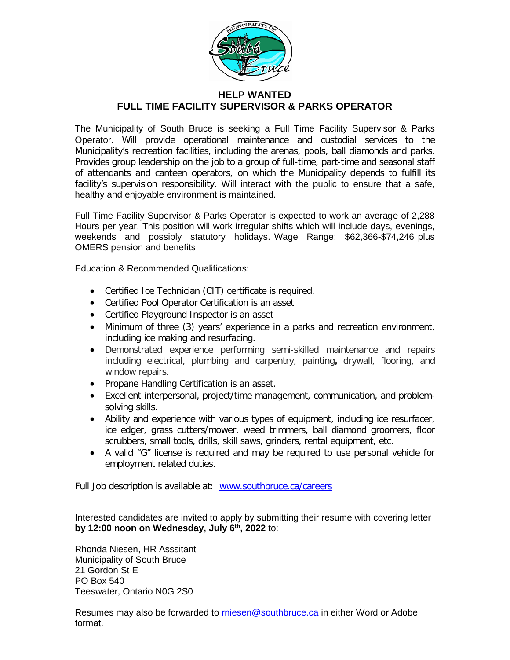

## **HELP WANTED FULL TIME FACILITY SUPERVISOR & PARKS OPERATOR**

The Municipality of South Bruce is seeking a Full Time Facility Supervisor & Parks Operator. Will provide operational maintenance and custodial services to the Municipality's recreation facilities, including the arenas, pools, ball diamonds and parks. Provides group leadership on the job to a group of full-time, part-time and seasonal staff of attendants and canteen operators, on which the Municipality depends to fulfill its facility's supervision responsibility. Will interact with the public to ensure that a safe, healthy and enjoyable environment is maintained.

Full Time Facility Supervisor & Parks Operator is expected to work an average of 2,288 Hours per year. This position will work irregular shifts which will include days, evenings, weekends and possibly statutory holidays. Wage Range: \$62,366-\$74,246 plus OMERS pension and benefits

Education & Recommended Qualifications:

- Certified Ice Technician (CIT) certificate is required.
- Certified Pool Operator Certification is an asset
- Certified Playground Inspector is an asset
- Minimum of three (3) years' experience in a parks and recreation environment, including ice making and resurfacing.
- Demonstrated experience performing semi-skilled maintenance and repairs including electrical, plumbing and carpentry, painting**,** drywall, flooring, and window repairs.
- Propane Handling Certification is an asset.
- Excellent interpersonal, project/time management, communication, and problemsolving skills.
- Ability and experience with various types of equipment, including ice resurfacer, ice edger, grass cutters/mower, weed trimmers, ball diamond groomers, floor scrubbers, small tools, drills, skill saws, grinders, rental equipment, etc.
- A valid "G" license is required and may be required to use personal vehicle for employment related duties.

Full Job description is available at: [www.southbruce.ca/careers](http://www.southbruce.ca/careers)

Interested candidates are invited to apply by submitting their resume with covering letter **by 12:00 noon on Wednesday, July 6th, 2022** to:

Rhonda Niesen, HR Asssitant Municipality of South Bruce 21 Gordon St E PO Box 540 Teeswater, Ontario N0G 2S0

Resumes may also be forwarded to [rniesen@southbruce.ca](mailto:rniesen@southbruce.ca) in either Word or Adobe format.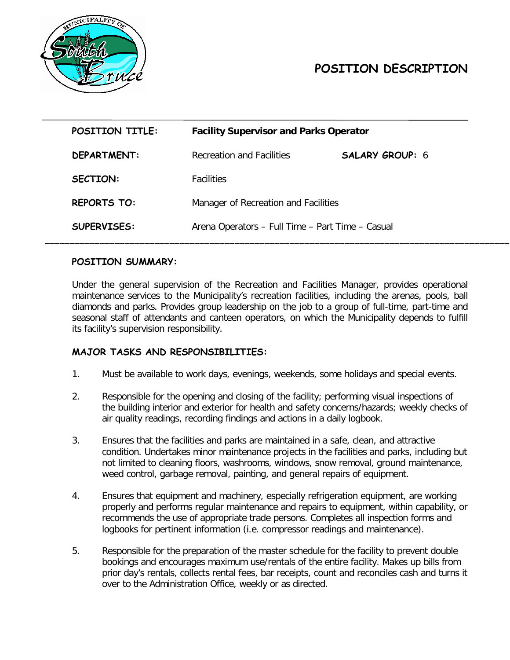

# **POSITION DESCRIPTION**

| POSITION TITLE:    | <b>Facility Supervisor and Parks Operator</b>    |                        |
|--------------------|--------------------------------------------------|------------------------|
| DEPARTMENT:        | Recreation and Facilities                        | <b>SALARY GROUP: 6</b> |
| <b>SECTION:</b>    | <b>Facilities</b>                                |                        |
| <b>REPORTS TO:</b> | Manager of Recreation and Facilities             |                        |
| <b>SUPERVISES:</b> | Arena Operators - Full Time - Part Time - Casual |                        |

### **POSITION SUMMARY:**

Under the general supervision of the Recreation and Facilities Manager, provides operational maintenance services to the Municipality's recreation facilities, including the arenas, pools, ball diamonds and parks. Provides group leadership on the job to a group of full-time, part-time and seasonal staff of attendants and canteen operators, on which the Municipality depends to fulfill its facility's supervision responsibility.

#### **MAJOR TASKS AND RESPONSIBILITIES:**

- 1. Must be available to work days, evenings, weekends, some holidays and special events.
- 2. Responsible for the opening and closing of the facility; performing visual inspections of the building interior and exterior for health and safety concerns/hazards; weekly checks of air quality readings, recording findings and actions in a daily logbook.
- 3. Ensures that the facilities and parks are maintained in a safe, clean, and attractive condition. Undertakes minor maintenance projects in the facilities and parks, including but not limited to cleaning floors, washrooms, windows, snow removal, ground maintenance, weed control, garbage removal, painting, and general repairs of equipment.
- 4. Ensures that equipment and machinery, especially refrigeration equipment, are working properly and performs regular maintenance and repairs to equipment, within capability, or recommends the use of appropriate trade persons. Completes all inspection forms and logbooks for pertinent information (i.e. compressor readings and maintenance).
- 5. Responsible for the preparation of the master schedule for the facility to prevent double bookings and encourages maximum use/rentals of the entire facility. Makes up bills from prior day's rentals, collects rental fees, bar receipts, count and reconciles cash and turns it over to the Administration Office, weekly or as directed.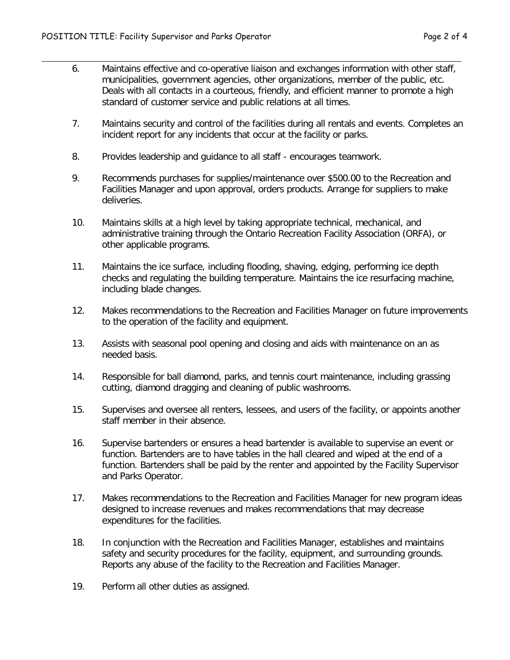- 6. Maintains effective and co-operative liaison and exchanges information with other staff, municipalities, government agencies, other organizations, member of the public, etc. Deals with all contacts in a courteous, friendly, and efficient manner to promote a high standard of customer service and public relations at all times.
- 7. Maintains security and control of the facilities during all rentals and events. Completes an incident report for any incidents that occur at the facility or parks.
- 8. Provides leadership and guidance to all staff encourages teamwork.

 $\ddot{\phantom{a}}$ 

- 9. Recommends purchases for supplies/maintenance over \$500.00 to the Recreation and Facilities Manager and upon approval, orders products. Arrange for suppliers to make deliveries.
- 10. Maintains skills at a high level by taking appropriate technical, mechanical, and administrative training through the Ontario Recreation Facility Association (ORFA), or other applicable programs.
- 11. Maintains the ice surface, including flooding, shaving, edging, performing ice depth checks and regulating the building temperature. Maintains the ice resurfacing machine, including blade changes.
- 12. Makes recommendations to the Recreation and Facilities Manager on future improvements to the operation of the facility and equipment.
- 13. Assists with seasonal pool opening and closing and aids with maintenance on an as needed basis.
- 14. Responsible for ball diamond, parks, and tennis court maintenance, including grassing cutting, diamond dragging and cleaning of public washrooms.
- 15. Supervises and oversee all renters, lessees, and users of the facility, or appoints another staff member in their absence.
- 16. Supervise bartenders or ensures a head bartender is available to supervise an event or function. Bartenders are to have tables in the hall cleared and wiped at the end of a function. Bartenders shall be paid by the renter and appointed by the Facility Supervisor and Parks Operator.
- 17. Makes recommendations to the Recreation and Facilities Manager for new program ideas designed to increase revenues and makes recommendations that may decrease expenditures for the facilities.
- 18. In conjunction with the Recreation and Facilities Manager, establishes and maintains safety and security procedures for the facility, equipment, and surrounding grounds. Reports any abuse of the facility to the Recreation and Facilities Manager.
- 19. Perform all other duties as assigned.